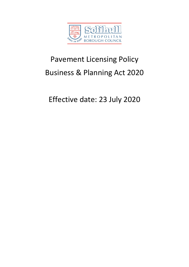

# Pavement Licensing Policy Business & Planning Act 2020

Effective date: 23 July 2020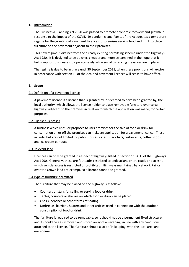## **1. Introduction**

The Business & Planning Act 2020 was passed to promote economic recovery and growth in response to the impact of the COVID-19 pandemic, and Part 1 of the Act creates a temporary regime for the granting of Pavement Licences for premises serving food and drink to place furniture on the pavement adjacent to their premises.

This new regime is distinct from the already existing permitting scheme under the Highways Act 1980. It is designed to be quicker, cheaper and more streamlined in the hope that it helps support businesses to operate safely while social distancing measures are in place.

The regime is due to be in place until 30 September 2021, when these provisions will expire in accordance with section 10 of the Act, and pavement licences will cease to have effect.

# **2. Scope**

## 2.1 Definition of a pavement licence

A pavement licence is a licence that is granted by, or deemed to have been granted by, the local authority, which allows the licence holder to place removable furniture over certain highways adjacent to the premises in relation to which the application was made, for certain purposes.

## 2.2 Eligible businesses

A business which uses (or proposes to use) premises for the sale of food or drink for consumption on or off the premises can make an application for a pavement licence. These include, but are not limited to, public houses, cafes, snack bars, restaurants, coffee shops, and ice cream parlours.

#### 2.3 Relevant land

Licences can only be granted in respect of highways listed in section 115A(1) of the Highways Act 1990. Generally, these are footpaths restricted to pedestrians or are roads or places to which vehicle access is restricted or prohibited. Highways maintained by Network Rail or over the Crown land are exempt, so a licence cannot be granted.

#### 2.4 Type of furniture permitted

The furniture that may be placed on the highway is as follows:

- Counters or stalls for selling or serving food or drink
- Tables, counters or shelves on which food or drink can be placed
- Chairs, benches or other forms of seating
- Umbrellas, barriers, heaters and other articles used in connection with the outdoor consumption of food or drink

The furniture is required to be removable, so it should not be a permanent fixed structure, and it should be easily moved and stored away of an evening, in line with any conditions attached to the licence. The furniture should also be 'in keeping' with the local area and environment.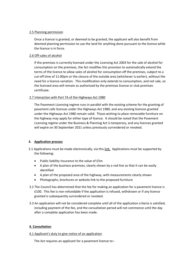### 2.5 Planning permission

Once a licence is granted, or deemed to be granted, the applicant will also benefit from deemed planning permission to use the land for anything done pursuant to the licence while the licence is in force.

# 2.6 Off-sales of alcohol

If the premises is currently licensed under the Licensing Act 2003 for the sale of alcohol for consumption on the premises, the Act modifies this provision to automatically extend the terms of the licence to allow sales of alcohol for consumption off the premises, subject to a cut-off time of 11:00pm or the closure of the outside area (whichever is earlier), without the need for a licence variation. This modification only extends to consumption, and not sale, so the licensed area will remain as authorised by the premises licence or club premises certificate.

## 2.7 Interaction with Part 7A of the Highways Act 1980

The Pavement Licensing regime runs in parallel with the existing scheme for the granting of pavement cafe licences under the Highways Act 1980, and any existing licences granted under the Highways Act 1980 remain valid. Those wishing to place removable furniture on the highway may apply for either type of licence. It should be noted that the Pavement Licensing regime under the Business & Planning Act is temporary, and any licences granted will expire on 30 September 2021 unless previously surrendered or revoked.

# **3. Application process**

- 3.1 Applications must be made electronically, via this link. Applications must be supported by the following:
	- Public liability insurance to the value of £5m
	- A plan of the business premises, clearly shown by a red line so that it can be easily identified
	- A plan of the proposed area of the highway, with measurements clearly shown
	- Photographs, brochures or website link to the proposed furniture
- 3.2 The Council has determined that the fee for making an application for a pavement licence is £100. This fee is non-refundable if the application is refused, withdrawn or if any licence granted is subsequently surrendered or revoked.
- 3.3 An application will not be considered complete until all of the application criteria is satisfied, including payment of the fee, and the consultation period will not commence until the day after a complete application has been made.

#### **4. Consultation**

#### 4.1 Applicant's duty to give notice of an application

The Act requires an applicant for a pavement licence to:-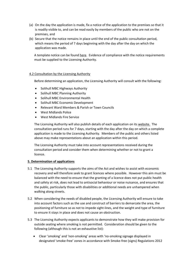- (a) On the day the application is made, fix a notice of the application to the premises so that it is readily visible to, and can be read easily by members of the public who are not on the premises, and
- (b) Secure that the notice remains in place until the end of the public consultation period, which means the period of 7 days beginning with the day after the day on which the application was made.

A template notice can be found here. Evidence of compliance with the notice requirements must be supplied to the Licensing Authority.

## 4.2 Consultation by the Licensing Authority

Before determining an application, the Licensing Authority will consult with the following:

- Solihull MBC Highways Authority
- Solihull MBC Planning Authority
- Solihull MBC Environmental Health
- Solihull MBC Economic Development
- Relevant Ward Members & Parish or Town Councils
- West Midlands Police
- West Midlands Fire Service

The Licensing Authority will also publish details of each application on its website. The consultation period runs for 7 days, starting with the day after the day on which a complete application is made to the Licensing Authority. Members of the public and others listed above may make representations about an application within this period.

The Licensing Authority must take into account representations received during the consultation period and consider them when determining whether or not to grant a licence.

# **5. Determination of applications**

- 5.1 The Licensing Authority supports the aims of the Act and wishes to assist with economic recovery and will therefore seek to grant licences where possible. However this aim must be balanced with the need to ensure that the granting of a licence does not put public health and safety at risk, does not lead to antisocial behaviour or noise nuisance, and ensures that the public, particularly those with disabilities or additional needs are unhampered when walking along streets.
- 5.2 When considering the needs of disabled people, the Licensing Authority will ensure to take into account factors such as the use and construct of barriers to demarcate the area, the positioning of furniture so as not to impede sight-lines, and the weight and type of furniture to ensure it stays in place and does not cause an obstruction.
- 5.3 The Licensing Authority expects applicants to demonstrate how they will make provision for outside seating where smoking is not permitted. Consideration should be given to the following (although this is not an exhaustive list):
	- Clear 'smoking' and 'non-smoking' areas with 'no-smoking signage displayed in designated 'smoke-free' zones in accordance with Smoke-free (signs) Regulations 2012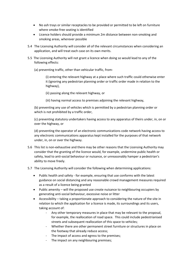- No ash trays or similar receptacles to be provided or permitted to be left on furniture where smoke-free seating is identified
- Licence holders should provide a minimum 2m distance between non-smoking and smoking areas, wherever possible
- 5.4 The Licensing Authority will consider all of the relevant circumstances when considering an application, and will treat each case on its own merits.
- 5.5 The Licensing Authority will not grant a licence when doing so would lead to any of the following effects:
	- (a) preventing traffic, other than vehicular traffic, from-

(i) entering the relevant highway at a place where such traffic could otherwise enter it (ignoring any pedestrian planning order or traffic order made in relation to the highway),

- (ii) passing along the relevant highway, or
- (iii) having normal access to premises adjoining the relevant highway,

(b) preventing any use of vehicles which is permitted by a pedestrian planning order or which is not prohibited by a traffic order,

(c) preventing statutory undertakers having access to any apparatus of theirs under, in, on or over the highway, or

(d) preventing the operator of an electronic communications code network having access to any electronic communications apparatus kept installed for the purposes of that network under, in, on or over the highway.

- 5.6 This list is non-exhaustive and there may be other reasons that the Licensing Authority may consider that the granting of the licence would, for example, undermine public health or safety, lead to anti-social behaviour or nuisance, or unreasonably hamper a pedestrian's ability to move freely.
- 5.7 The Licensing Authority will consider the following when determining applications:
	- Public health and safety for example, ensuring that use conforms with the latest guidance on social distancing and any reasonable crowd management measures required as a result of a licence being granted
	- Public amenity will the proposed use create nuisance to neighbouring occupiers by generating anti-social behaviour, excessive noise or litter
	- Accessibility taking a proportionate approach to considering the nature of the site in relation to which the application for a licence is made, its surroundings and its users, taking account of:
		- Any other temporary measures in place that may be relevant to the proposal, for example, the reallocation of road space. This could include pedestrianised streets and subsequent reallocation of this space to vehicles;
		- Whether there are other permanent street furniture or structures in place on the footway that already reduce access;
		- The impact of access and egress to the premises;
		- The impact on any neighbouring premises;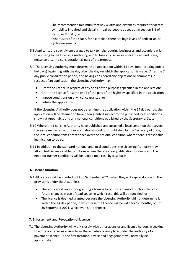- The recommended minimum footway widths and distances required for access by mobility impaired and visually impaired people as set out in section 3.1 of Inclusive Mobility; and
- Other users of the space, for example if there are high levels of pedestrian or cycle movements.
- 5.8 Applicants are strongly encouraged to talk to neighbouring businesses and occupiers prior to applying to the Licensing Authority, and to take any issues or concerns around noise, nuisance etc. into consideration as part of the proposal.
- 5.9 The Licensing Authority must determine an application within 14 days (not including public holidays) beginning with the day after the day on which the application is made. After the 7 day public consultation period, and having considered any objections or comments in respect of an application, the Licensing Authority may:
	- Grant the licence in respect of any or all of the purposes specified in the application;
	- Grant the licence for some or all of the part of the highway specified in the application;
	- Impose conditions on any licence granted; or
	- Refuse the application

If the Licensing Authority does not determine the application within the 14 day period, the application will be deemed to have been granted subject to the published local conditions shown at Appendix 1 and any national conditions published by the Secretary of State.

- 5.10 Where the Licensing Authority have published and attached a local condition that covers the same matter as set out in any national conditions published by the Secretary of State, the local condition takes precedence over the national condition where there is reasonable justification to do so.
- 5.11 In addition to the standard national and local conditions, the Licensing Authority may attach further reasonable conditions where there is clear justification for doing so. The need for further conditions will be judged on a case by case basis.

# **6. Licence Duration**

- 6.1 All licences will be granted until 30 September 2021, when they will expire along with the provisions under the Act, unless:
	- There is a good reason for granting a licence for a shorter period, such as plans for future changes in use of road space, in which case, this will be specified; or
	- The licence is deemed granted because the Licensing Authority did not determine it within the 14 day period, in which case the licence will be valid for 12 months, or until 30 September 2021, whichever is the shorter.

# **7. Enforcement and Revocation of Licence**

 7.1 The Licensing Authority will work closely with other agencies and licence holders in seeking to address any issues arising from the activities taking place under the authority of a pavement licence. In the first instance, advice and engagement will normally be appropriate.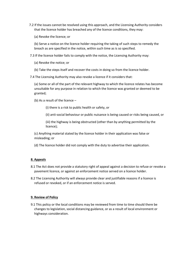- 7.2 If the issues cannot be resolved using this approach, and the Licensing Authority considers that the licence holder has breached any of the licence conditions, they may:
	- (a) Revoke the licence; or

(b) Serve a notice on the licence holder requiring the taking of such steps to remedy the breach as are specified in the notice, within such time as is so specified.

7.3 If the licence holder fails to comply with the notice, the Licensing Authority may:

- (a) Revoke the notice; or
- (b) Take the steps itself and recover the costs in doing so from the licence holder.

7.4 The Licensing Authority may also revoke a licence if it considers that:

(a) Some or all of the part of the relevant highway to which the licence relates has become unsuitable for any purpose in relation to which the licence was granted or deemed to be granted;

(b) As a result of the licence –

(i) there is a risk to public health or safety, or

(ii) anti-social behaviour or public nuisance is being caused or risks being caused, or

(iii) the highway is being obstructed (other than by anything permitted by the licence);

(c) Anything material stated by the licence holder in their application was false or misleading; or

(d) The licence holder did not comply with the duty to advertise their application.

### **8. Appeals**

- 8.1 The Act does not provide a statutory right of appeal against a decision to refuse or revoke a pavement licence, or against an enforcement notice served on a licence holder.
- 8.2 The Licensing Authority will always provide clear and justifiable reasons if a licence is refused or revoked, or if an enforcement notice is served.

#### **9. Review of Policy**

 9.1 This policy or the local conditions may be reviewed from time to time should there be changes to legislation, social distancing guidance, or as a result of local environment or highways consideration.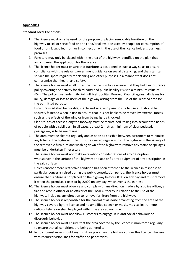# **Appendix 1**

## **Standard Local Conditions**

- 1. The licence must only be used for the purpose of placing removable furniture on the highway to sell or serve food or drink and/or allow it be used by people for consumption of food or drink supplied from or in connection with the use of the licence holder's business premises.
- 2. Furniture may only be placed within the area of the highway identified on the plan that accompanied the application for the licence.
- 3. The licence holder must ensure that furniture is positioned in such a way so as to ensure compliance with the relevant government guidance on social distancing, and that staff can service the space regularly for cleaning and other purposes in a manner that does not compromise their health and safety.
- 4. The licence holder must at all times the licence is in force ensure that they hold an insurance policy covering the activity for third party and public liability risks to a minimum value of £5m. The policy must indemnify Solihull Metropolitan Borough Council against all claims for injury, damage or loss to users of the highway arising from the use of the licensed area for the permitted purpose.
- 5. Furniture used shall be durable, stable and safe, and pose no risk to users. It should be securely fastened when in use to ensure that it is not liable to be moved by external forces, such as the effects of the wind or from being lightly knocked.
- 6. Clear routes of access along the footway must be maintained, taking into account the needs of people with disabilities. In all cases, at least 2 metres minimum of clear pedestrian passageway is to be maintained.
- 7. The area must be cleared regularly and as soon as possible between customers to minimise any litter on the highway. Litter must be cleared regularly from the highway in the vicinity of the removable furniture and washing down of the highway to remove any stains or spillages must be undertaken if necessary.
- 8. The licence holder must not make excavations or indentations of any description whatsoever in the surface of the highway or place or fix any equipment of any description in the said surface.
- 9. Unless another more restrictive condition has been attached to the licence in response to particular concerns raised during the public consultation period, the licence holder must ensure the furniture is not placed on the highway before 08:00 on any day and must remove it when the premises closes or by 22:00 on any day, whichever is the earliest.
- 10. The licence holder must observe and comply with any direction made a by a police officer, a fire and rescue officer or an officer of the Local Authority in relation to the use of the highway, including any direction to remove furniture from the highway.
- 11. The licence holder is responsible for the control of all noise emanating from the area of the highway covered by the licence and no amplified speech or music, musical instruments, radio or television shall be played within the area at any time.
- 12. The licence holder must not allow customers to engage in in anti-social behaviour or disorderly behaviour.
- 13. The licence holder must ensure that the area covered by the licence is monitored regularly to ensure that all conditions are being adhered to.
- 14. In no circumstances should any furniture placed on the highway under this licence interfere with required vision lines for traffic and pedestrians.